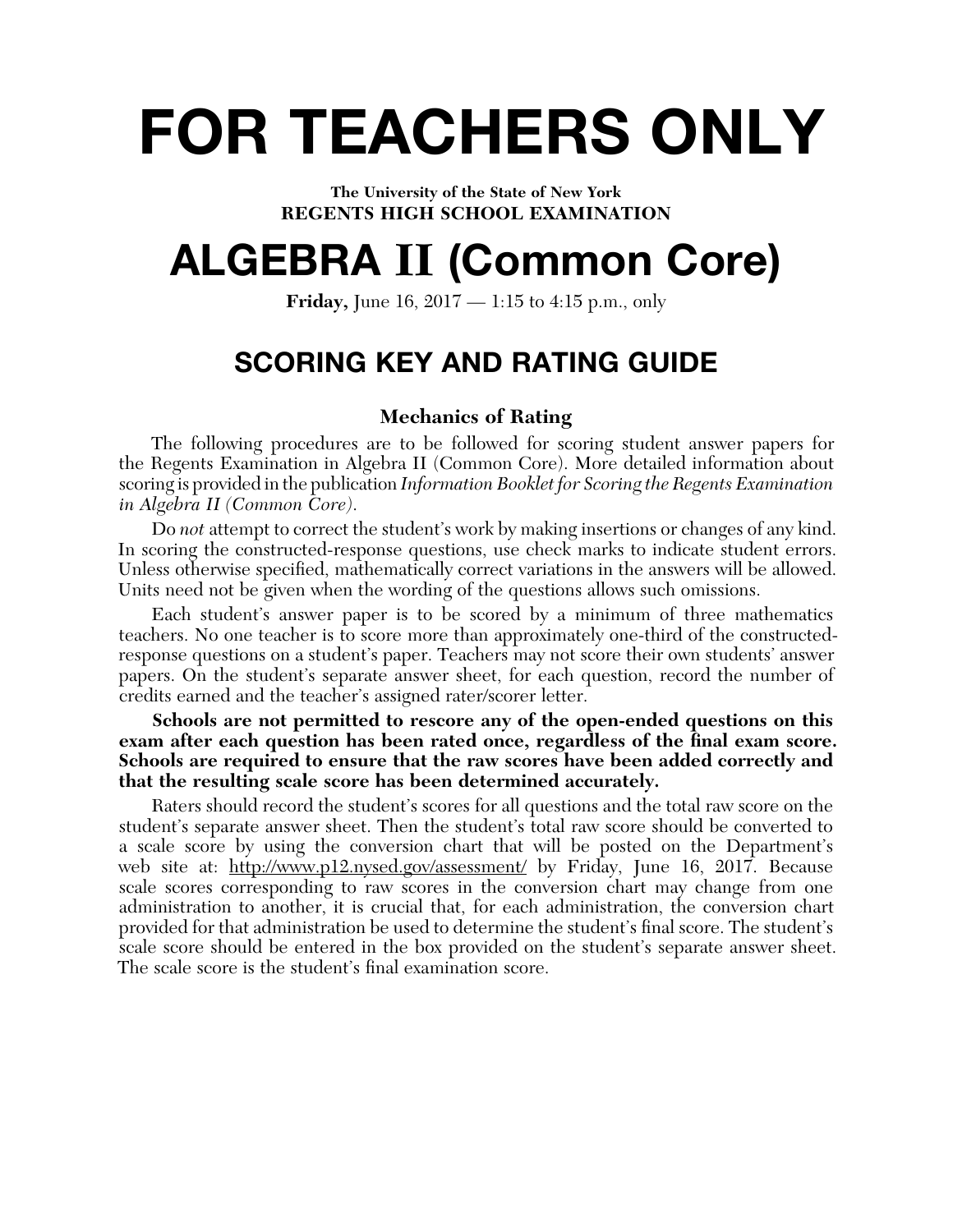# **FOR TEACHERS ONLY**

**The University of the State of New York REGENTS HIGH SCHOOL EXAMINATION**

## **ALGEBRA II (Common Core)**

**Friday,** June 16, 2017 — 1:15 to 4:15 p.m., only

## **SCORING KEY AND RATING GUIDE**

## **Mechanics of Rating**

The following procedures are to be followed for scoring student answer papers for the Regents Examination in Algebra II (Common Core). More detailed information about scoring is provided in the publication *Information Booklet for Scoring the Regents Examination in Algebra II (Common Core)*.

Do *not* attempt to correct the student's work by making insertions or changes of any kind. In scoring the constructed-response questions, use check marks to indicate student errors. Unless otherwise specified, mathematically correct variations in the answers will be allowed. Units need not be given when the wording of the questions allows such omissions.

Each student's answer paper is to be scored by a minimum of three mathematics teachers. No one teacher is to score more than approximately one-third of the constructedresponse questions on a student's paper. Teachers may not score their own students' answer papers. On the student's separate answer sheet, for each question, record the number of credits earned and the teacher's assigned rater/scorer letter.

**Schools are not permitted to rescore any of the open-ended questions on this**  exam after each question has been rated once, regardless of the final exam score. **Schools are required to ensure that the raw scores have been added correctly and that the resulting scale score has been determined accurately.**

Raters should record the student's scores for all questions and the total raw score on the student's separate answer sheet. Then the student's total raw score should be converted to a scale score by using the conversion chart that will be posted on the Department's web site at: http://www.p12.nysed.gov/assessment/ by Friday, June 16, 2017. Because scale scores corresponding to raw scores in the conversion chart may change from one administration to another, it is crucial that, for each administration, the conversion chart provided for that administration be used to determine the student's final score. The student's scale score should be entered in the box provided on the student's separate answer sheet. The scale score is the student's final examination score.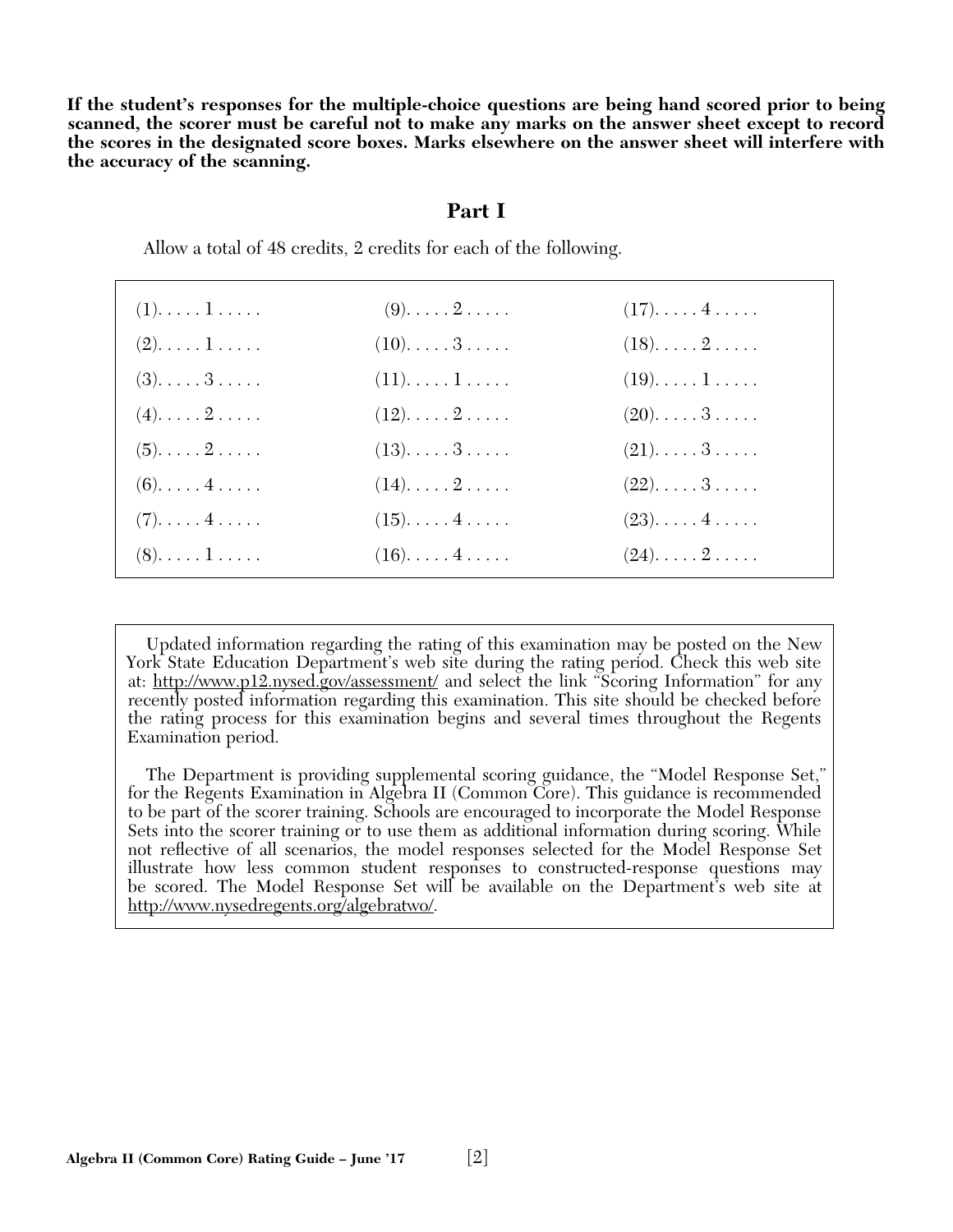**If the student's responses for the multiple-choice questions are being hand scored prior to being scanned, the scorer must be careful not to make any marks on the answer sheet except to record the scores in the designated score boxes. Marks elsewhere on the answer sheet will interfere with the accuracy of the scanning.**

#### **Part I**

Allow a total of 48 credits, 2 credits for each of the following.

| $(1)$ $1$                           | $(9)$ . $\ldots$ . $2$ . $\ldots$ .  | $(17)$ $4$ |
|-------------------------------------|--------------------------------------|------------|
| $(2). \ldots . 1$                   | $(10)$ $3$                           | $(18)$ $2$ |
| $(3)$ $3$                           | $(11)$ 1                             | $(19)$ $1$ |
| $(4)$ . $\ldots$ . $2$ . $\ldots$ . | $(12)$ $2$                           | $(20)$ $3$ |
| $(5)$ . $\ldots$ . $2$ . $\ldots$ . | $(13)$ . $\ldots$ . $3$ . $\ldots$ . | $(21)$ $3$ |
| $(6)$ $4$                           | $(14)$ . $\ldots$ . $2$ . $\ldots$ . | $(22)$ $3$ |
| $(7)$ . 4                           | $(15)$ $4$                           | $(23)$ $4$ |
| $(8)$ $1$                           | $(16)$ $4$                           | $(24)$ $2$ |
|                                     |                                      |            |

 Updated information regarding the rating of this examination may be posted on the New York State Education Department's web site during the rating period. Check this web site at: http://www.p12.nysed.gov/assessment/ and select the link "Scoring Information" for any recently posted information regarding this examination. This site should be checked before the rating process for this examination begins and several times throughout the Regents Examination period.

 The Department is providing supplemental scoring guidance, the "Model Response Set," for the Regents Examination in Algebra II (Common Core). This guidance is recommended to be part of the scorer training. Schools are encouraged to incorporate the Model Response Sets into the scorer training or to use them as additional information during scoring. While not refl ective of all scenarios, the model responses selected for the Model Response Set illustrate how less common student responses to constructed-response questions may be scored. The Model Response Set will be available on the Department's web site at http://www.nysedregents.org/algebratwo/.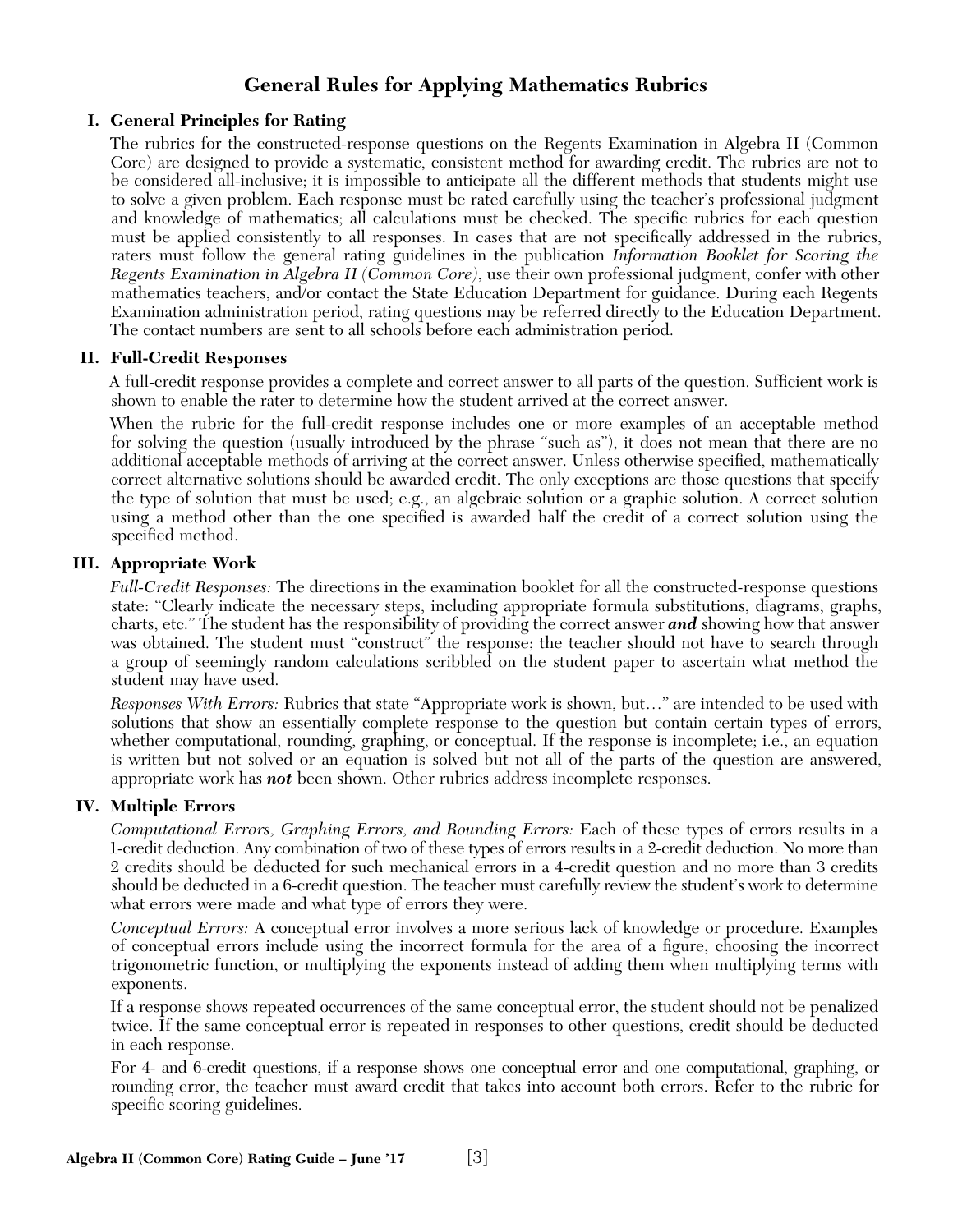## **General Rules for Applying Mathematics Rubrics**

## **I. General Principles for Rating**

The rubrics for the constructed-response questions on the Regents Examination in Algebra II (Common Core) are designed to provide a systematic, consistent method for awarding credit. The rubrics are not to be considered all-inclusive; it is impossible to anticipate all the different methods that students might use to solve a given problem. Each response must be rated carefully using the teacher's professional judgment and knowledge of mathematics; all calculations must be checked. The specific rubrics for each question must be applied consistently to all responses. In cases that are not specifically addressed in the rubrics, raters must follow the general rating guidelines in the publication *Information Booklet for Scoring the Regents Examination in Algebra II (Common Core)*, use their own professional judgment, confer with other mathematics teachers, and/or contact the State Education Department for guidance. During each Regents Examination administration period, rating questions may be referred directly to the Education Department. The contact numbers are sent to all schools before each administration period.

## **II. Full-Credit Responses**

A full-credit response provides a complete and correct answer to all parts of the question. Sufficient work is shown to enable the rater to determine how the student arrived at the correct answer.

When the rubric for the full-credit response includes one or more examples of an acceptable method for solving the question (usually introduced by the phrase "such as"), it does not mean that there are no additional acceptable methods of arriving at the correct answer. Unless otherwise specified, mathematically correct alternative solutions should be awarded credit. The only exceptions are those questions that specify the type of solution that must be used; e.g., an algebraic solution or a graphic solution. A correct solution using a method other than the one specified is awarded half the credit of a correct solution using the specified method.

## **III. Appropriate Work**

*Full-Credit Responses:* The directions in the examination booklet for all the constructed-response questions state: "Clearly indicate the necessary steps, including appropriate formula substitutions, diagrams, graphs, charts, etc." The student has the responsibility of providing the correct answer *and* showing how that answer was obtained. The student must "construct" the response; the teacher should not have to search through a group of seemingly random calculations scribbled on the student paper to ascertain what method the student may have used.

*Responses With Errors:* Rubrics that state "Appropriate work is shown, but…" are intended to be used with solutions that show an essentially complete response to the question but contain certain types of errors, whether computational, rounding, graphing, or conceptual. If the response is incomplete; i.e., an equation is written but not solved or an equation is solved but not all of the parts of the question are answered, appropriate work has *not* been shown. Other rubrics address incomplete responses.

## **IV. Multiple Errors**

*Computational Errors, Graphing Errors, and Rounding Errors:* Each of these types of errors results in a 1-credit deduction. Any combination of two of these types of errors results in a 2-credit deduction. No more than 2 credits should be deducted for such mechanical errors in a 4-credit question and no more than 3 credits should be deducted in a 6-credit question. The teacher must carefully review the student's work to determine what errors were made and what type of errors they were.

*Conceptual Errors:* A conceptual error involves a more serious lack of knowledge or procedure. Examples of conceptual errors include using the incorrect formula for the area of a figure, choosing the incorrect trigonometric function, or multiplying the exponents instead of adding them when multiplying terms with exponents.

If a response shows repeated occurrences of the same conceptual error, the student should not be penalized twice. If the same conceptual error is repeated in responses to other questions, credit should be deducted in each response.

For 4- and 6-credit questions, if a response shows one conceptual error and one computational, graphing, or rounding error, the teacher must award credit that takes into account both errors. Refer to the rubric for specific scoring guidelines.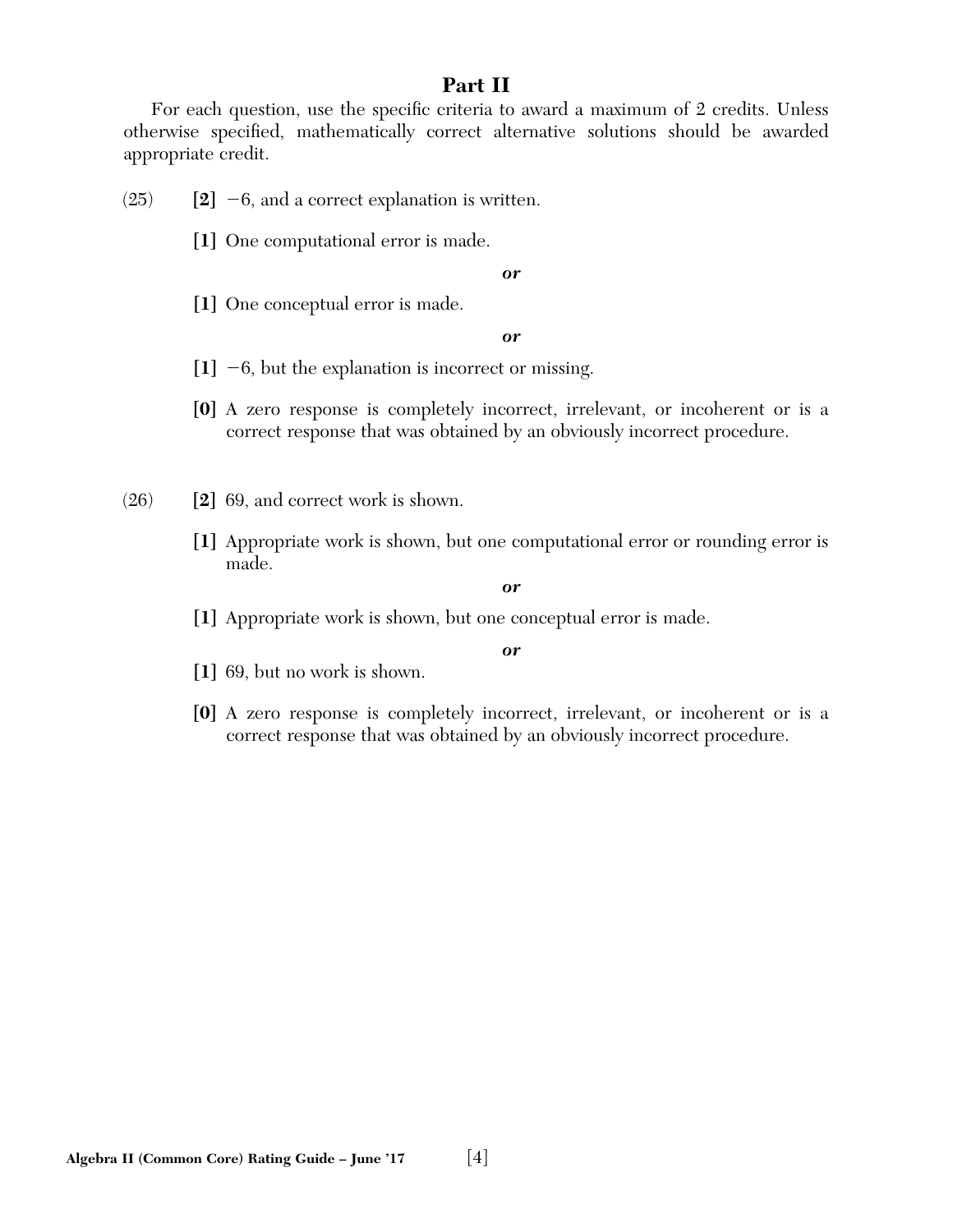## **Part II**

For each question, use the specific criteria to award a maximum of 2 credits. Unless otherwise specified, mathematically correct alternative solutions should be awarded appropriate credit.

 $(25)$  **[2]**  $-6$ , and a correct explanation is written.

**[1]** One computational error is made.

*or*

**[1]** One conceptual error is made.

#### *or*

- **[1]** -6, but the explanation is incorrect or missing.
- **[0]** A zero response is completely incorrect, irrelevant, or incoherent or is a correct response that was obtained by an obviously incorrect procedure.

(26) **[2]** 69, and correct work is shown.

**[1]** Appropriate work is shown, but one computational error or rounding error is made.

*or*

**[1]** Appropriate work is shown, but one conceptual error is made.

#### *or*

**[1]** 69, but no work is shown.

**[0]** A zero response is completely incorrect, irrelevant, or incoherent or is a correct response that was obtained by an obviously incorrect procedure.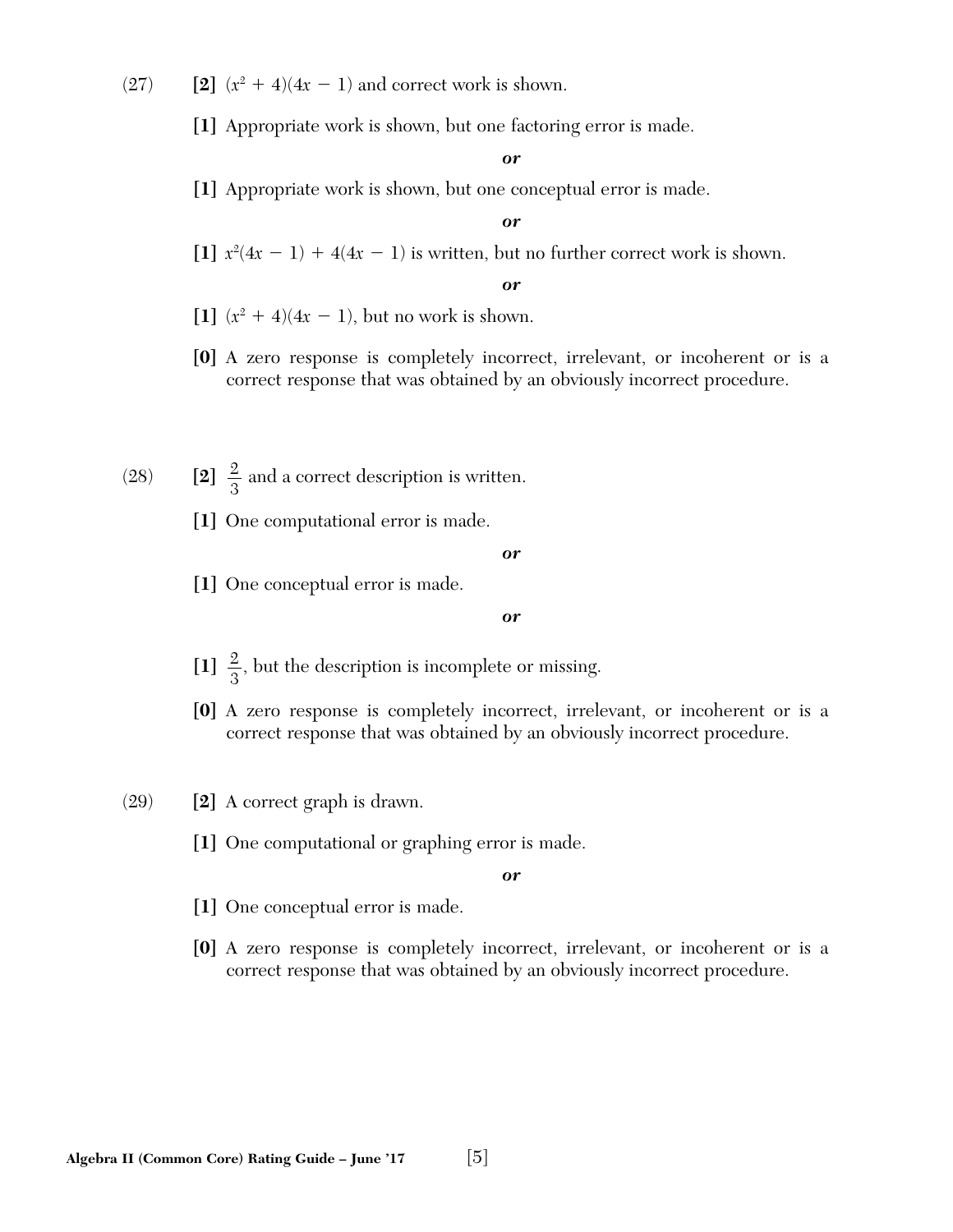- $(27)$  **[2]**  $(x^2 + 4)(4x 1)$  and correct work is shown.
	- **[1]** Appropriate work is shown, but one factoring error is made.

**[1]** Appropriate work is shown, but one conceptual error is made.

#### *or*

[1]  $x^2(4x-1) + 4(4x-1)$  is written, but no further correct work is shown.

#### *or*

- $[1]$   $(x^2 + 4)(4x 1)$ , but no work is shown.
- **[0]** A zero response is completely incorrect, irrelevant, or incoherent or is a correct response that was obtained by an obviously incorrect procedure.
- (28) **[2]**  $\frac{2}{3}$  and a correct description is written.
	- **[1]** One computational error is made.

#### *or*

**[1]** One conceptual error is made.

#### *or*

- [1]  $\frac{2}{3}$ , but the description is incomplete or missing.
- **[0]** A zero response is completely incorrect, irrelevant, or incoherent or is a correct response that was obtained by an obviously incorrect procedure.
- (29) **[2]** A correct graph is drawn.
	- **[1]** One computational or graphing error is made.

- **[1]** One conceptual error is made.
- **[0]** A zero response is completely incorrect, irrelevant, or incoherent or is a correct response that was obtained by an obviously incorrect procedure.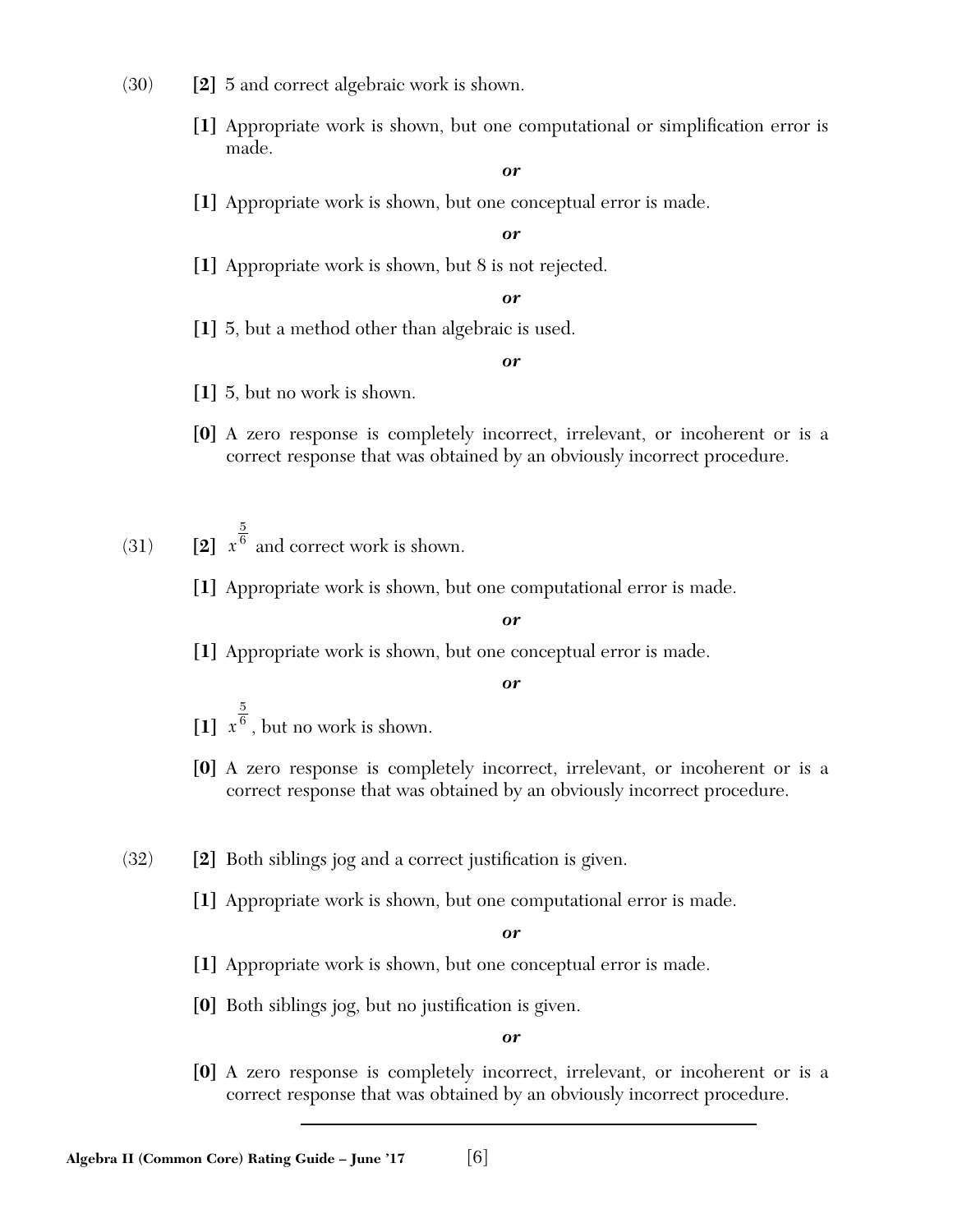- (30) **[2]** 5 and correct algebraic work is shown.
	- [1] Appropriate work is shown, but one computational or simplification error is made.

**[1]** Appropriate work is shown, but one conceptual error is made.

*or*

**[1]** Appropriate work is shown, but 8 is not rejected.

*or*

**[1]** 5, but a method other than algebraic is used.

#### *or*

- **[1]** 5, but no work is shown.
- **[0]** A zero response is completely incorrect, irrelevant, or incoherent or is a correct response that was obtained by an obviously incorrect procedure.

(31) **[2]** *x*  $\overline{5}$ 6 and correct work is shown.

**[1]** Appropriate work is shown, but one computational error is made.

*or*

**[1]** Appropriate work is shown, but one conceptual error is made.

*or*

- **[1]** *x* 5  $<sup>6</sup>$ , but no work is shown.</sup>
- **[0]** A zero response is completely incorrect, irrelevant, or incoherent or is a correct response that was obtained by an obviously incorrect procedure.
- $(32)$  **[2]** Both siblings jog and a correct justification is given.
	- **[1]** Appropriate work is shown, but one computational error is made.

*or*

- **[1]** Appropriate work is shown, but one conceptual error is made.
- **[0]** Both siblings jog, but no justification is given.

*or*

**[0]** A zero response is completely incorrect, irrelevant, or incoherent or is a correct response that was obtained by an obviously incorrect procedure.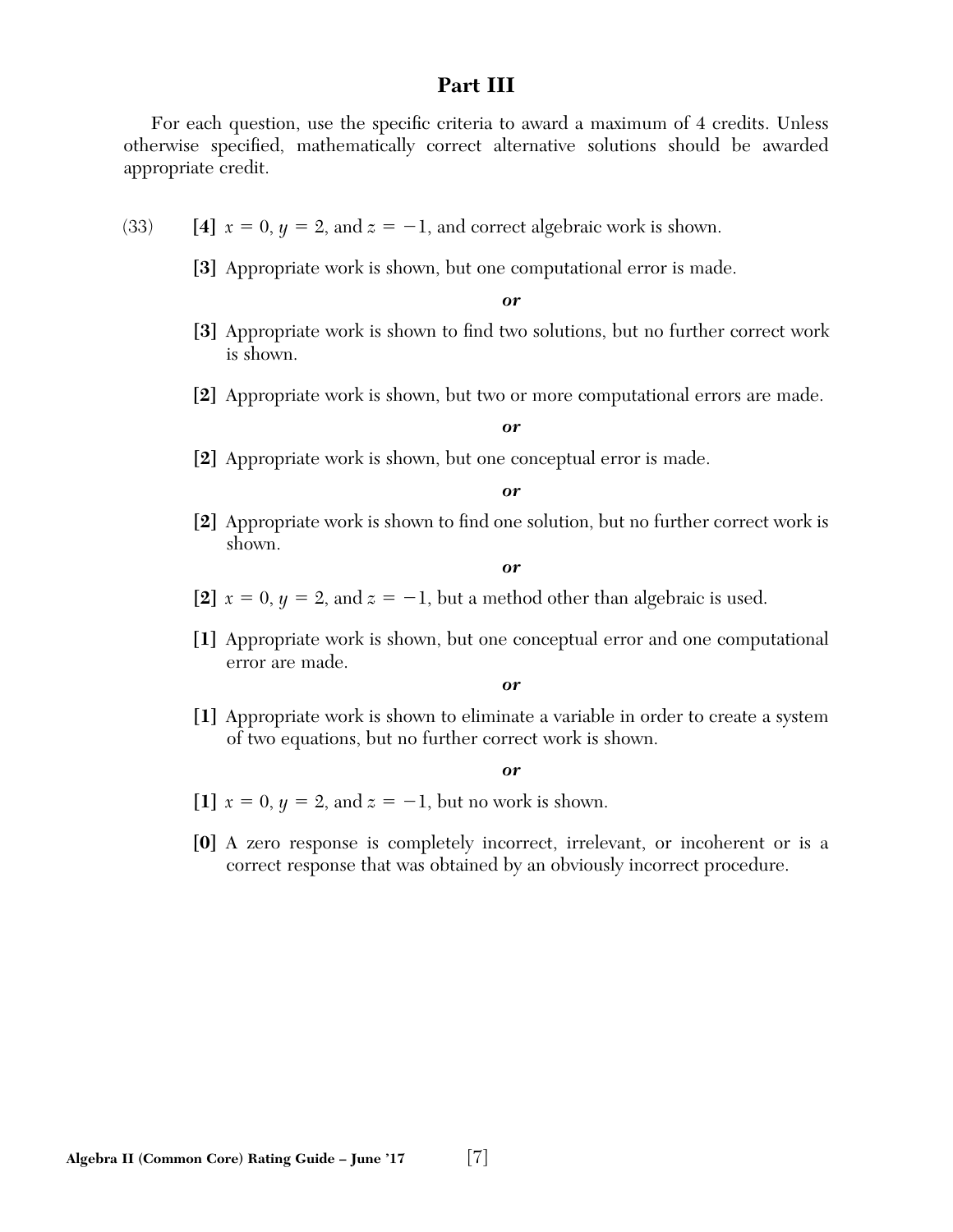## **Part III**

For each question, use the specific criteria to award a maximum of 4 credits. Unless otherwise specified, mathematically correct alternative solutions should be awarded appropriate credit.

- (33) **[4]**  $x = 0, y = 2, and z = -1, and correct algebraic work is shown.$ 
	- **[3]** Appropriate work is shown, but one computational error is made.

*or*

- [3] Appropriate work is shown to find two solutions, but no further correct work is shown.
- **[2]** Appropriate work is shown, but two or more computational errors are made.

*or*

**[2]** Appropriate work is shown, but one conceptual error is made.

*or*

**[2]** Appropriate work is shown to find one solution, but no further correct work is shown.

*or*

- [2]  $x = 0, y = 2, and z = -1$ , but a method other than algebraic is used.
- **[1]** Appropriate work is shown, but one conceptual error and one computational error are made.

*or*

**[1]** Appropriate work is shown to eliminate a variable in order to create a system of two equations, but no further correct work is shown.

- [1]  $x = 0, y = 2, and z = -1$ , but no work is shown.
- **[0]** A zero response is completely incorrect, irrelevant, or incoherent or is a correct response that was obtained by an obviously incorrect procedure.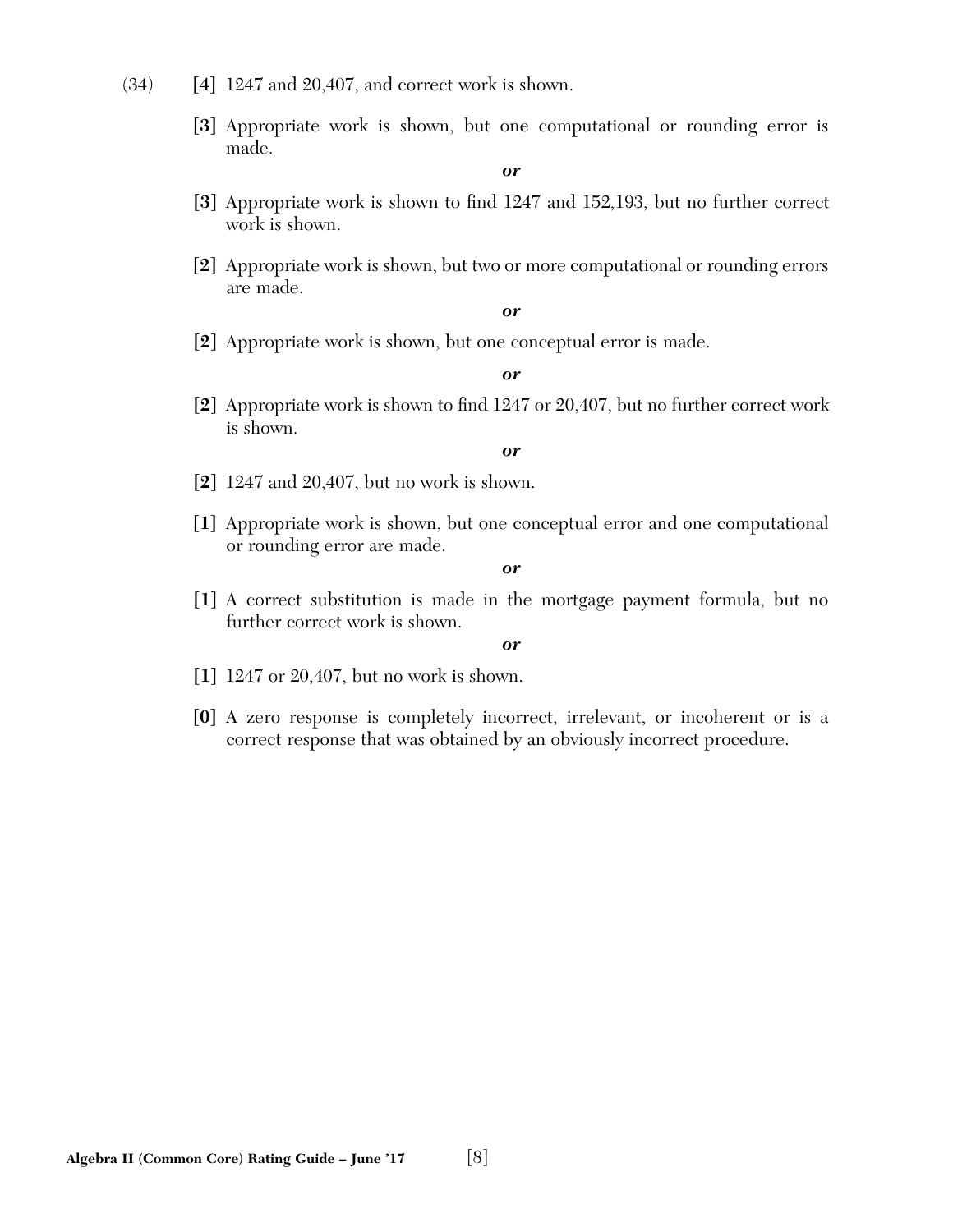- (34) **[4]** 1247 and 20,407, and correct work is shown.
	- **[3]** Appropriate work is shown, but one computational or rounding error is made.

- [3] Appropriate work is shown to find 1247 and 152,193, but no further correct work is shown.
- **[2]** Appropriate work is shown, but two or more computational or rounding errors are made.

*or*

**[2]** Appropriate work is shown, but one conceptual error is made.

*or*

**[2]** Appropriate work is shown to find 1247 or 20,407, but no further correct work is shown.

#### *or*

- **[2]** 1247 and 20,407, but no work is shown.
- **[1]** Appropriate work is shown, but one conceptual error and one computational or rounding error are made.

#### *or*

**[1]** A correct substitution is made in the mortgage payment formula, but no further correct work is shown.

- **[1]** 1247 or 20,407, but no work is shown.
- **[0]** A zero response is completely incorrect, irrelevant, or incoherent or is a correct response that was obtained by an obviously incorrect procedure.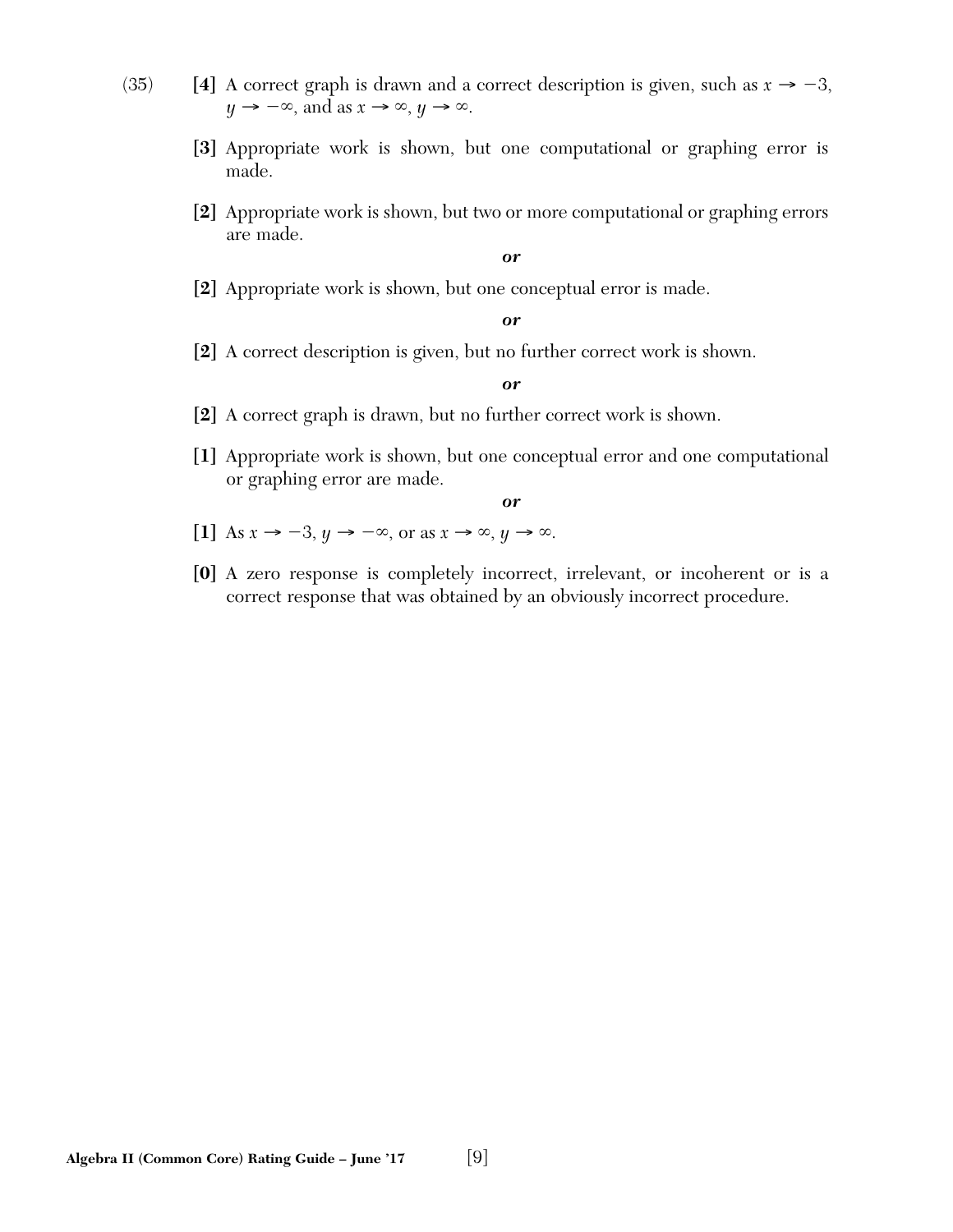- (35) **[4]** A correct graph is drawn and a correct description is given, such as  $x \rightarrow -3$ ,  $y \rightarrow -\infty$ , and as  $x \rightarrow \infty$ ,  $y \rightarrow \infty$ .
	- **[3]** Appropriate work is shown, but one computational or graphing error is made.
	- **[2]** Appropriate work is shown, but two or more computational or graphing errors are made.

**[2]** Appropriate work is shown, but one conceptual error is made.

*or*

**[2]** A correct description is given, but no further correct work is shown.

*or*

- **[2]** A correct graph is drawn, but no further correct work is shown.
- **[1]** Appropriate work is shown, but one conceptual error and one computational or graphing error are made.

- [1] As  $x \to -3$ ,  $y \to -\infty$ , or as  $x \to \infty$ ,  $y \to \infty$ .
- **[0]** A zero response is completely incorrect, irrelevant, or incoherent or is a correct response that was obtained by an obviously incorrect procedure.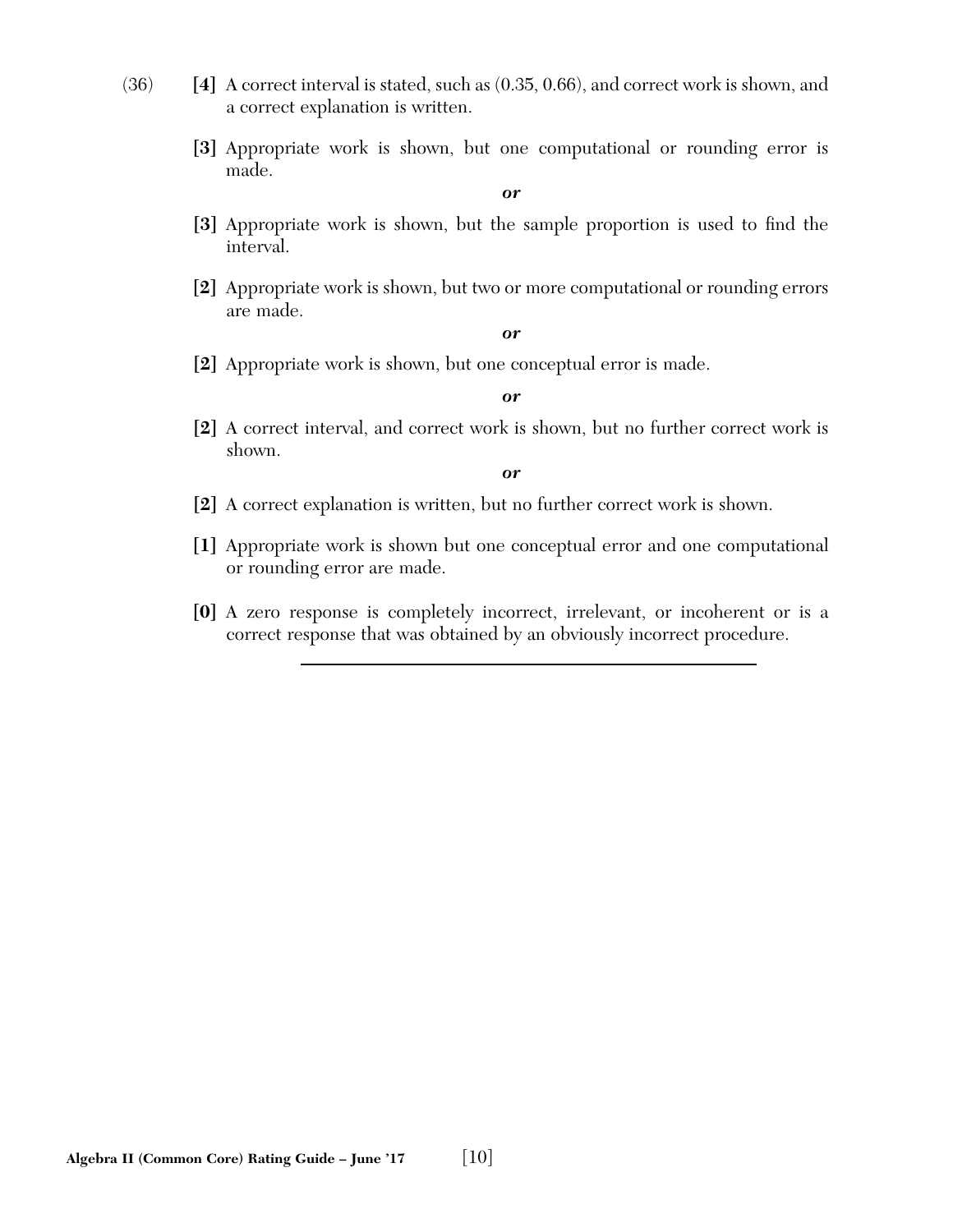- (36) **[4]** A correct interval is stated, such as (0.35, 0.66), and correct work is shown, and a correct explanation is written.
	- **[3]** Appropriate work is shown, but one computational or rounding error is made.

- [3] Appropriate work is shown, but the sample proportion is used to find the interval.
- **[2]** Appropriate work is shown, but two or more computational or rounding errors are made.

*or*

**[2]** Appropriate work is shown, but one conceptual error is made.

*or*

**[2]** A correct interval, and correct work is shown, but no further correct work is shown.

- **[2]** A correct explanation is written, but no further correct work is shown.
- **[1]** Appropriate work is shown but one conceptual error and one computational or rounding error are made.
- **[0]** A zero response is completely incorrect, irrelevant, or incoherent or is a correct response that was obtained by an obviously incorrect procedure.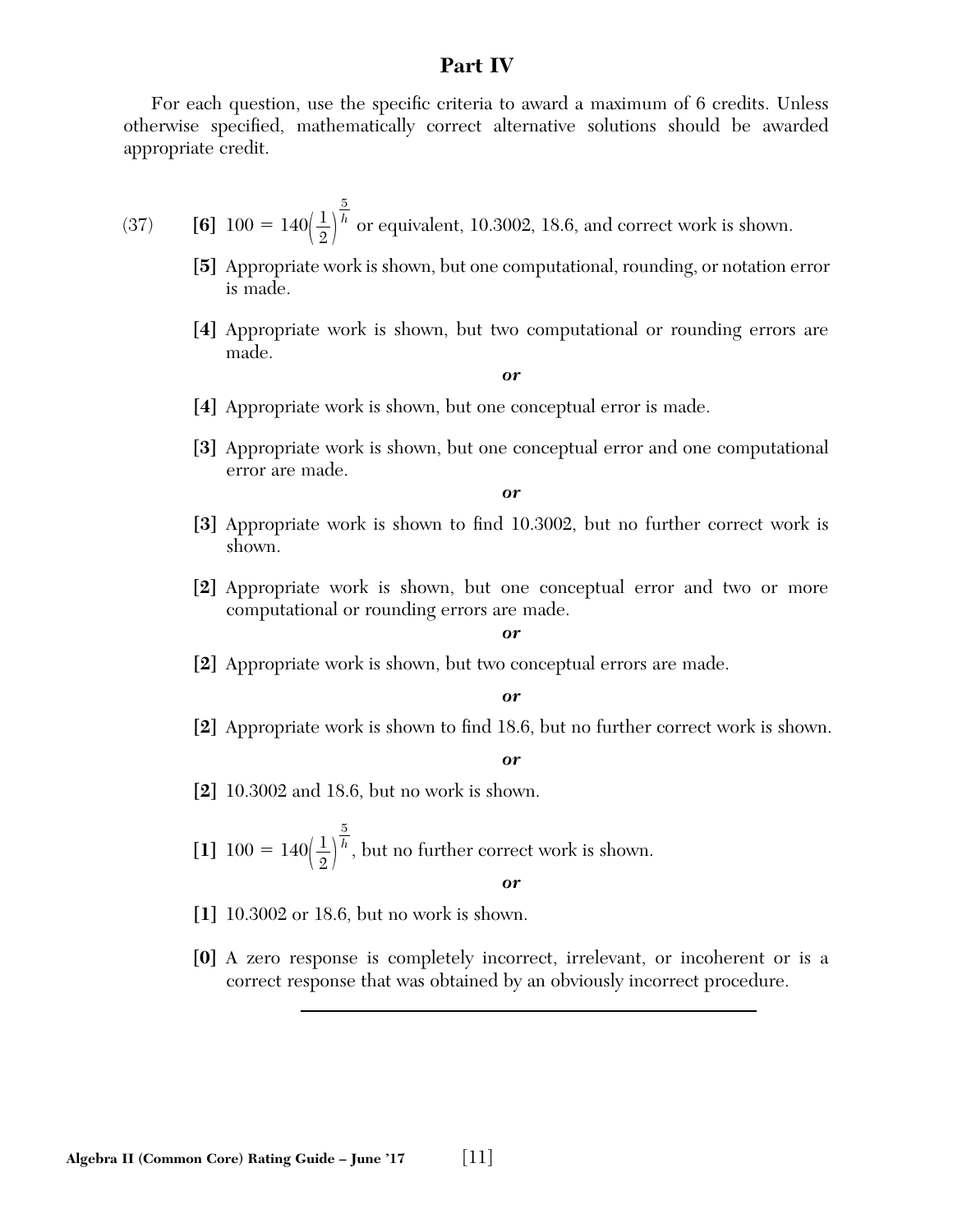#### **Part IV**

For each question, use the specific criteria to award a maximum of 6 credits. Unless otherwise specified, mathematically correct alternative solutions should be awarded appropriate credit.

(37) [6] 
$$
100 = 140 \left(\frac{1}{2}\right)^{\frac{5}{h}}
$$
 or equivalent, 10.3002, 18.6, and correct work is shown.

- **[5]** Appropriate work is shown, but one computational, rounding, or notation error is made.
- **[4]** Appropriate work is shown, but two computational or rounding errors are made.

*or*

- **[4]** Appropriate work is shown, but one conceptual error is made.
- **[3]** Appropriate work is shown, but one conceptual error and one computational error are made.

*or*

- [3] Appropriate work is shown to find 10.3002, but no further correct work is shown.
- **[2]** Appropriate work is shown, but one conceptual error and two or more computational or rounding errors are made.

*or*

**[2]** Appropriate work is shown, but two conceptual errors are made.

#### *or*

**[2]** Appropriate work is shown to find 18.6, but no further correct work is shown.

*or*

**[2]** 10.3002 and 18.6, but no work is shown.

 $[1]$  100 = 140 $\left(\frac{1}{2}\right)$  $\overline{5}$ *<sup>h</sup>* , but no further correct work is shown.

- **[1]** 10.3002 or 18.6, but no work is shown.
- **[0]** A zero response is completely incorrect, irrelevant, or incoherent or is a correct response that was obtained by an obviously incorrect procedure.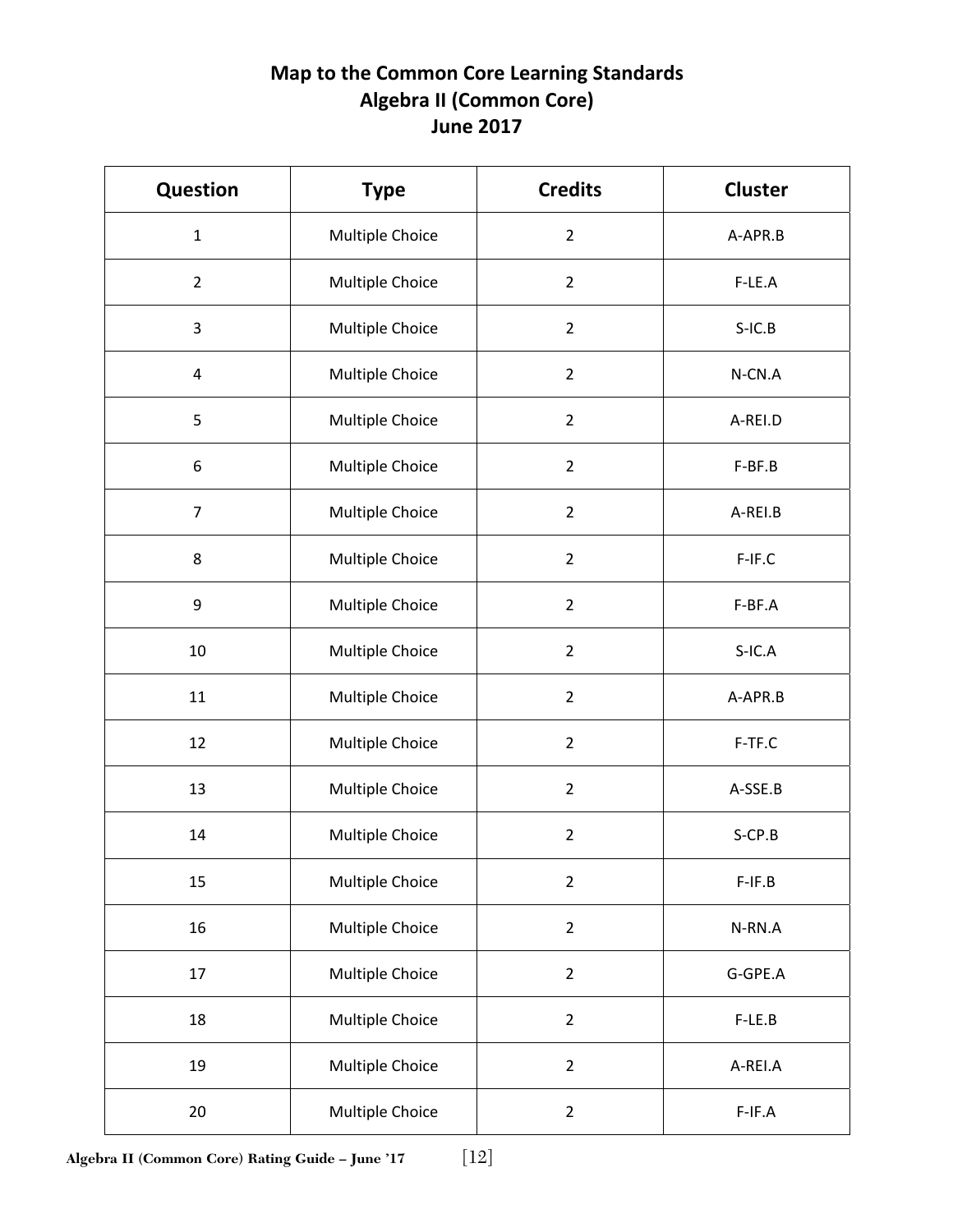## **Map to the Common Core Learning Standards Algebra II (Common Core) June 2017**

| <b>Question</b> | <b>Type</b>     | <b>Credits</b> | <b>Cluster</b> |
|-----------------|-----------------|----------------|----------------|
| $\mathbf{1}$    | Multiple Choice | $\overline{2}$ | A-APR.B        |
| $\overline{2}$  | Multiple Choice | $\overline{2}$ | F-LE.A         |
| 3               | Multiple Choice | $\overline{2}$ | $S-IC.B$       |
| $\overline{4}$  | Multiple Choice | $\overline{2}$ | N-CN.A         |
| 5               | Multiple Choice | $\overline{2}$ | A-REI.D        |
| 6               | Multiple Choice | $\overline{2}$ | F-BF.B         |
| $\overline{7}$  | Multiple Choice | $\overline{2}$ | A-REI.B        |
| 8               | Multiple Choice | $\overline{2}$ | F-IF.C         |
| 9               | Multiple Choice | $\overline{2}$ | F-BF.A         |
| 10              | Multiple Choice | $\overline{2}$ | $S-IC.A$       |
| 11              | Multiple Choice | $\overline{2}$ | A-APR.B        |
| 12              | Multiple Choice | $\overline{2}$ | F-TF.C         |
| 13              | Multiple Choice | $\overline{2}$ | A-SSE.B        |
| 14              | Multiple Choice | $\overline{2}$ | $S$ -CP.B      |
| 15              | Multiple Choice | $\overline{2}$ | $F-IF.B$       |
| 16              | Multiple Choice | $\overline{2}$ | N-RN.A         |
| 17              | Multiple Choice | $\overline{2}$ | G-GPE.A        |
| 18              | Multiple Choice | $\overline{2}$ | F-LE.B         |
| 19              | Multiple Choice | $\overline{2}$ | A-REI.A        |
| 20              | Multiple Choice | $\overline{2}$ | $F-IF.A$       |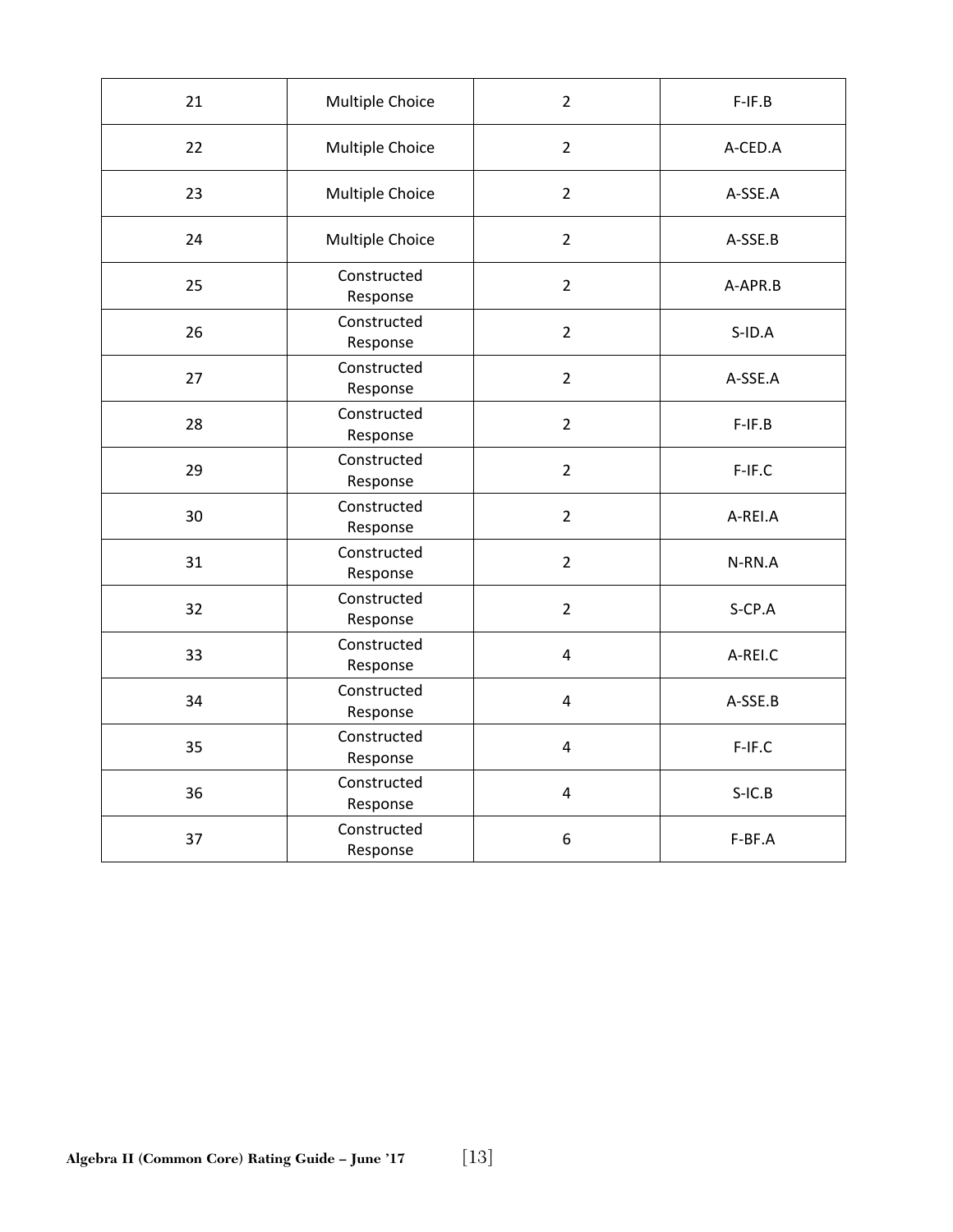| 21 | Multiple Choice         | $\overline{2}$          | $F-IF.B$  |
|----|-------------------------|-------------------------|-----------|
| 22 | Multiple Choice         | $\overline{2}$          | A-CED.A   |
| 23 | Multiple Choice         | $\overline{2}$          | A-SSE.A   |
| 24 | Multiple Choice         | $\overline{2}$          | A-SSE.B   |
| 25 | Constructed<br>Response | $\overline{2}$          | A-APR.B   |
| 26 | Constructed<br>Response | $\overline{2}$          | $S$ -ID.A |
| 27 | Constructed<br>Response | $\overline{2}$          | A-SSE.A   |
| 28 | Constructed<br>Response | $\overline{2}$          | $F-IF.B$  |
| 29 | Constructed<br>Response | $\overline{2}$          | F-IF.C    |
| 30 | Constructed<br>Response | $\overline{2}$          | A-REI.A   |
| 31 | Constructed<br>Response | $\overline{2}$          | N-RN.A    |
| 32 | Constructed<br>Response | $\overline{2}$          | S-CP.A    |
| 33 | Constructed<br>Response | $\overline{\mathbf{4}}$ | A-REI.C   |
| 34 | Constructed<br>Response | $\overline{4}$          | A-SSE.B   |
| 35 | Constructed<br>Response | $\overline{4}$          | F-IF.C    |
| 36 | Constructed<br>Response | $\overline{4}$          | $S-IC.B$  |
| 37 | Constructed<br>Response | $\boldsymbol{6}$        | F-BF.A    |